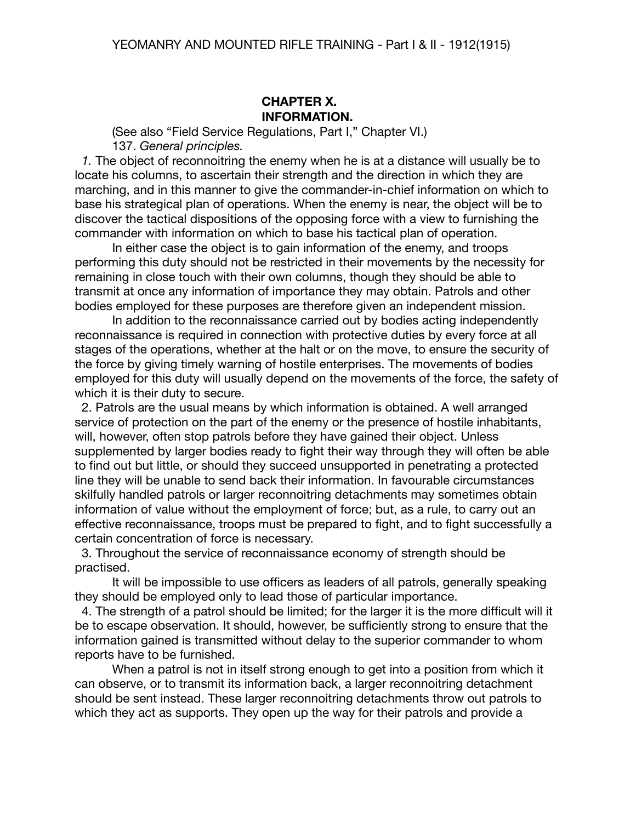#### **CHAPTER X. INFORMATION.**

(See also "Field Service Regulations, Part I," Chapter VI.) 137. *General principles.*

 *1.* The object of reconnoitring the enemy when he is at a distance will usually be to locate his columns, to ascertain their strength and the direction in which they are marching, and in this manner to give the commander-in-chief information on which to base his strategical plan of operations. When the enemy is near, the object will be to discover the tactical dispositions of the opposing force with a view to furnishing the commander with information on which to base his tactical plan of operation.

In either case the object is to gain information of the enemy, and troops performing this duty should not be restricted in their movements by the necessity for remaining in close touch with their own columns, though they should be able to transmit at once any information of importance they may obtain. Patrols and other bodies employed for these purposes are therefore given an independent mission.

In addition to the reconnaissance carried out by bodies acting independently reconnaissance is required in connection with protective duties by every force at all stages of the operations, whether at the halt or on the move, to ensure the security of the force by giving timely warning of hostile enterprises. The movements of bodies employed for this duty will usually depend on the movements of the force, the safety of which it is their duty to secure.

 2. Patrols are the usual means by which information is obtained. A well arranged service of protection on the part of the enemy or the presence of hostile inhabitants, will, however, often stop patrols before they have gained their object. Unless supplemented by larger bodies ready to fight their way through they will often be able to find out but little, or should they succeed unsupported in penetrating a protected line they will be unable to send back their information. In favourable circumstances skilfully handled patrols or larger reconnoitring detachments may sometimes obtain information of value without the employment of force; but, as a rule, to carry out an effective reconnaissance, troops must be prepared to fight, and to fight successfully a certain concentration of force is necessary.

 3. Throughout the service of reconnaissance economy of strength should be practised.

It will be impossible to use officers as leaders of all patrols, generally speaking they should be employed only to lead those of particular importance.

 4. The strength of a patrol should be limited; for the larger it is the more difficult will it be to escape observation. It should, however, be sufficiently strong to ensure that the information gained is transmitted without delay to the superior commander to whom reports have to be furnished.

When a patrol is not in itself strong enough to get into a position from which it can observe, or to transmit its information back, a larger reconnoitring detachment should be sent instead. These larger reconnoitring detachments throw out patrols to which they act as supports. They open up the way for their patrols and provide a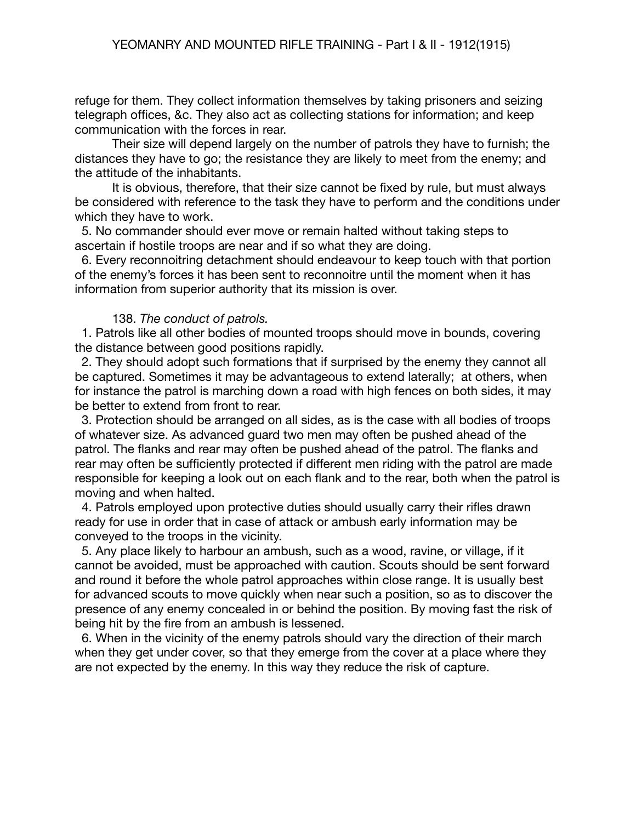refuge for them. They collect information themselves by taking prisoners and seizing telegraph offices, &c. They also act as collecting stations for information; and keep communication with the forces in rear.

Their size will depend largely on the number of patrols they have to furnish; the distances they have to go; the resistance they are likely to meet from the enemy; and the attitude of the inhabitants.

It is obvious, therefore, that their size cannot be fixed by rule, but must always be considered with reference to the task they have to perform and the conditions under which they have to work.

 5. No commander should ever move or remain halted without taking steps to ascertain if hostile troops are near and if so what they are doing.

 6. Every reconnoitring detachment should endeavour to keep touch with that portion of the enemy's forces it has been sent to reconnoitre until the moment when it has information from superior authority that its mission is over.

#### 138. *The conduct of patrols.*

 1. Patrols like all other bodies of mounted troops should move in bounds, covering the distance between good positions rapidly.

 2. They should adopt such formations that if surprised by the enemy they cannot all be captured. Sometimes it may be advantageous to extend laterally; at others, when for instance the patrol is marching down a road with high fences on both sides, it may be better to extend from front to rear.

 3. Protection should be arranged on all sides, as is the case with all bodies of troops of whatever size. As advanced guard two men may often be pushed ahead of the patrol. The flanks and rear may often be pushed ahead of the patrol. The flanks and rear may often be sufficiently protected if different men riding with the patrol are made responsible for keeping a look out on each flank and to the rear, both when the patrol is moving and when halted.

 4. Patrols employed upon protective duties should usually carry their rifles drawn ready for use in order that in case of attack or ambush early information may be conveyed to the troops in the vicinity.

 5. Any place likely to harbour an ambush, such as a wood, ravine, or village, if it cannot be avoided, must be approached with caution. Scouts should be sent forward and round it before the whole patrol approaches within close range. It is usually best for advanced scouts to move quickly when near such a position, so as to discover the presence of any enemy concealed in or behind the position. By moving fast the risk of being hit by the fire from an ambush is lessened.

 6. When in the vicinity of the enemy patrols should vary the direction of their march when they get under cover, so that they emerge from the cover at a place where they are not expected by the enemy. In this way they reduce the risk of capture.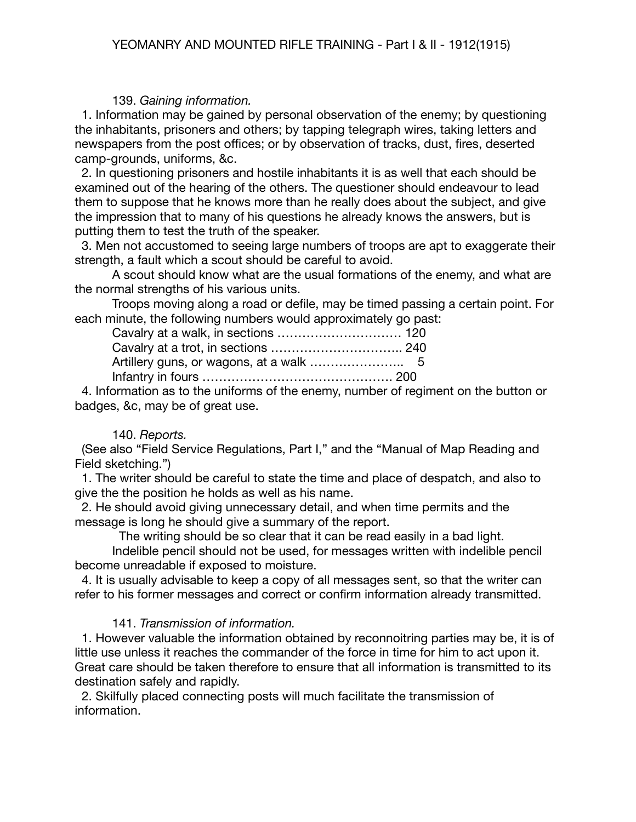### 139. *Gaining information.*

1. Information may be gained by personal observation of the enemy; by questioning the inhabitants, prisoners and others; by tapping telegraph wires, taking letters and newspapers from the post offices; or by observation of tracks, dust, fires, deserted camp-grounds, uniforms, &c.

 2. In questioning prisoners and hostile inhabitants it is as well that each should be examined out of the hearing of the others. The questioner should endeavour to lead them to suppose that he knows more than he really does about the subject, and give the impression that to many of his questions he already knows the answers, but is putting them to test the truth of the speaker.

 3. Men not accustomed to seeing large numbers of troops are apt to exaggerate their strength, a fault which a scout should be careful to avoid.

A scout should know what are the usual formations of the enemy, and what are the normal strengths of his various units.

Troops moving along a road or defile, may be timed passing a certain point. For each minute, the following numbers would approximately go past:

 4. Information as to the uniforms of the enemy, number of regiment on the button or badges, &c, may be of great use.

#### 140. *Reports.*

 (See also "Field Service Regulations, Part I," and the "Manual of Map Reading and Field sketching.")

 1. The writer should be careful to state the time and place of despatch, and also to give the the position he holds as well as his name.

 2. He should avoid giving unnecessary detail, and when time permits and the message is long he should give a summary of the report.

The writing should be so clear that it can be read easily in a bad light.

Indelible pencil should not be used, for messages written with indelible pencil become unreadable if exposed to moisture.

 4. It is usually advisable to keep a copy of all messages sent, so that the writer can refer to his former messages and correct or confirm information already transmitted.

# 141. *Transmission of information.*

 1. However valuable the information obtained by reconnoitring parties may be, it is of little use unless it reaches the commander of the force in time for him to act upon it. Great care should be taken therefore to ensure that all information is transmitted to its destination safely and rapidly.

 2. Skilfully placed connecting posts will much facilitate the transmission of information.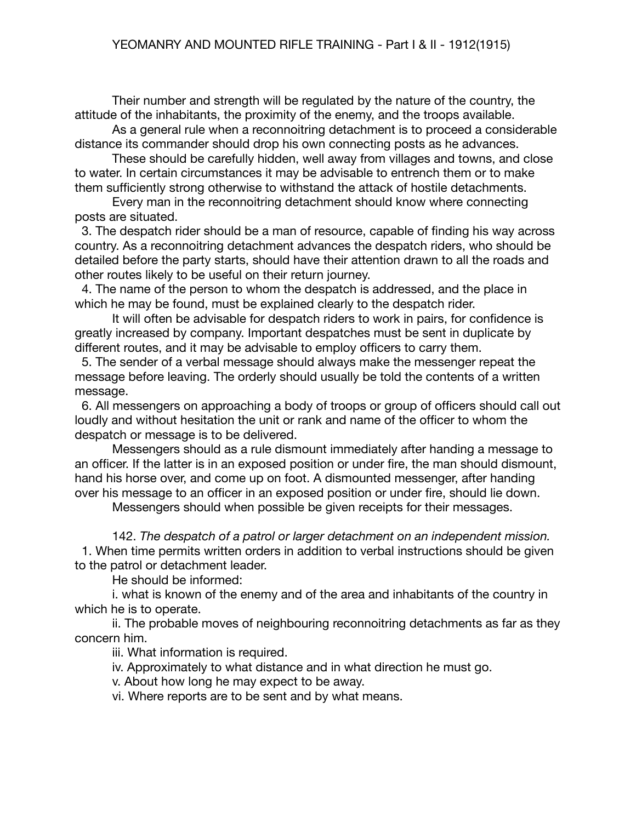Their number and strength will be regulated by the nature of the country, the attitude of the inhabitants, the proximity of the enemy, and the troops available.

As a general rule when a reconnoitring detachment is to proceed a considerable distance its commander should drop his own connecting posts as he advances.

These should be carefully hidden, well away from villages and towns, and close to water. In certain circumstances it may be advisable to entrench them or to make them sufficiently strong otherwise to withstand the attack of hostile detachments.

Every man in the reconnoitring detachment should know where connecting posts are situated.

 3. The despatch rider should be a man of resource, capable of finding his way across country. As a reconnoitring detachment advances the despatch riders, who should be detailed before the party starts, should have their attention drawn to all the roads and other routes likely to be useful on their return journey.

 4. The name of the person to whom the despatch is addressed, and the place in which he may be found, must be explained clearly to the despatch rider.

It will often be advisable for despatch riders to work in pairs, for confidence is greatly increased by company. Important despatches must be sent in duplicate by different routes, and it may be advisable to employ officers to carry them.

 5. The sender of a verbal message should always make the messenger repeat the message before leaving. The orderly should usually be told the contents of a written message.

 6. All messengers on approaching a body of troops or group of officers should call out loudly and without hesitation the unit or rank and name of the officer to whom the despatch or message is to be delivered.

Messengers should as a rule dismount immediately after handing a message to an officer. If the latter is in an exposed position or under fire, the man should dismount, hand his horse over, and come up on foot. A dismounted messenger, after handing over his message to an officer in an exposed position or under fire, should lie down.

Messengers should when possible be given receipts for their messages.

142. *The despatch of a patrol or larger detachment on an independent mission.* 1. When time permits written orders in addition to verbal instructions should be given to the patrol or detachment leader.

He should be informed:

i. what is known of the enemy and of the area and inhabitants of the country in which he is to operate.

ii. The probable moves of neighbouring reconnoitring detachments as far as they concern him.

iii. What information is required.

iv. Approximately to what distance and in what direction he must go.

v. About how long he may expect to be away.

vi. Where reports are to be sent and by what means.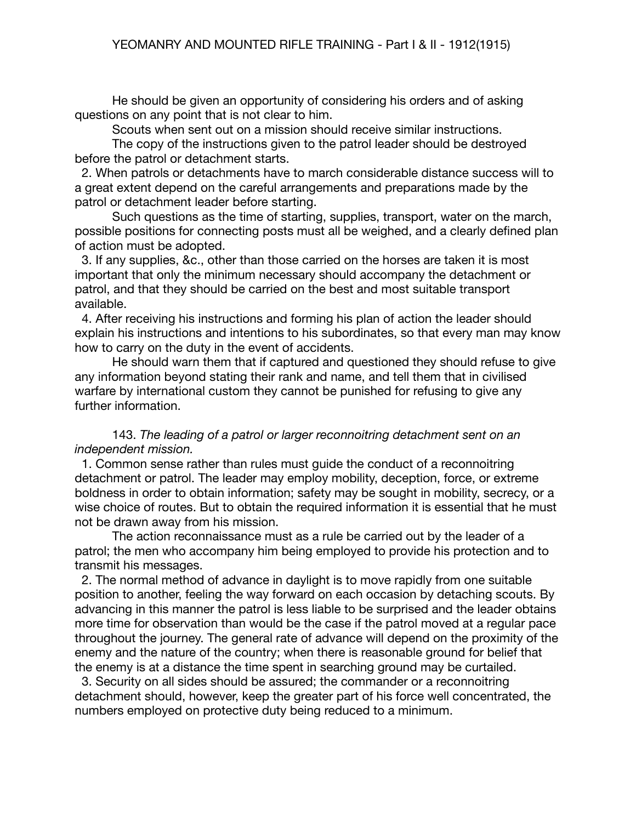He should be given an opportunity of considering his orders and of asking questions on any point that is not clear to him.

Scouts when sent out on a mission should receive similar instructions.

The copy of the instructions given to the patrol leader should be destroyed before the patrol or detachment starts.

 2. When patrols or detachments have to march considerable distance success will to a great extent depend on the careful arrangements and preparations made by the patrol or detachment leader before starting.

Such questions as the time of starting, supplies, transport, water on the march, possible positions for connecting posts must all be weighed, and a clearly defined plan of action must be adopted.

 3. If any supplies, &c., other than those carried on the horses are taken it is most important that only the minimum necessary should accompany the detachment or patrol, and that they should be carried on the best and most suitable transport available.

 4. After receiving his instructions and forming his plan of action the leader should explain his instructions and intentions to his subordinates, so that every man may know how to carry on the duty in the event of accidents.

He should warn them that if captured and questioned they should refuse to give any information beyond stating their rank and name, and tell them that in civilised warfare by international custom they cannot be punished for refusing to give any further information.

## 143. *The leading of a patrol or larger reconnoitring detachment sent on an independent mission.*

 1. Common sense rather than rules must guide the conduct of a reconnoitring detachment or patrol. The leader may employ mobility, deception, force, or extreme boldness in order to obtain information; safety may be sought in mobility, secrecy, or a wise choice of routes. But to obtain the required information it is essential that he must not be drawn away from his mission.

The action reconnaissance must as a rule be carried out by the leader of a patrol; the men who accompany him being employed to provide his protection and to transmit his messages.

 2. The normal method of advance in daylight is to move rapidly from one suitable position to another, feeling the way forward on each occasion by detaching scouts. By advancing in this manner the patrol is less liable to be surprised and the leader obtains more time for observation than would be the case if the patrol moved at a regular pace throughout the journey. The general rate of advance will depend on the proximity of the enemy and the nature of the country; when there is reasonable ground for belief that the enemy is at a distance the time spent in searching ground may be curtailed.

 3. Security on all sides should be assured; the commander or a reconnoitring detachment should, however, keep the greater part of his force well concentrated, the numbers employed on protective duty being reduced to a minimum.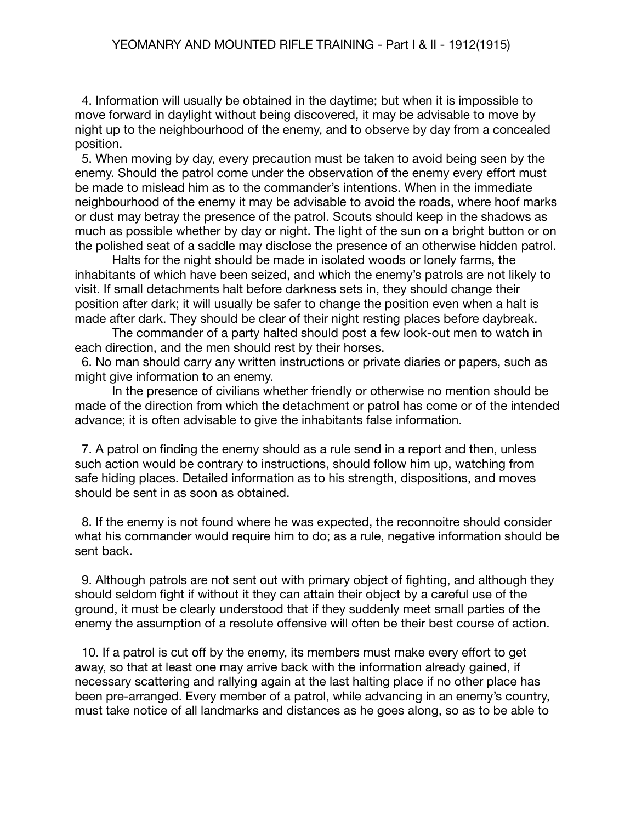4. Information will usually be obtained in the daytime; but when it is impossible to move forward in daylight without being discovered, it may be advisable to move by night up to the neighbourhood of the enemy, and to observe by day from a concealed position.

 5. When moving by day, every precaution must be taken to avoid being seen by the enemy. Should the patrol come under the observation of the enemy every effort must be made to mislead him as to the commander's intentions. When in the immediate neighbourhood of the enemy it may be advisable to avoid the roads, where hoof marks or dust may betray the presence of the patrol. Scouts should keep in the shadows as much as possible whether by day or night. The light of the sun on a bright button or on the polished seat of a saddle may disclose the presence of an otherwise hidden patrol.

Halts for the night should be made in isolated woods or lonely farms, the inhabitants of which have been seized, and which the enemy's patrols are not likely to visit. If small detachments halt before darkness sets in, they should change their position after dark; it will usually be safer to change the position even when a halt is made after dark. They should be clear of their night resting places before daybreak.

The commander of a party halted should post a few look-out men to watch in each direction, and the men should rest by their horses.

 6. No man should carry any written instructions or private diaries or papers, such as might give information to an enemy.

In the presence of civilians whether friendly or otherwise no mention should be made of the direction from which the detachment or patrol has come or of the intended advance; it is often advisable to give the inhabitants false information.

 7. A patrol on finding the enemy should as a rule send in a report and then, unless such action would be contrary to instructions, should follow him up, watching from safe hiding places. Detailed information as to his strength, dispositions, and moves should be sent in as soon as obtained.

 8. If the enemy is not found where he was expected, the reconnoitre should consider what his commander would require him to do; as a rule, negative information should be sent back.

 9. Although patrols are not sent out with primary object of fighting, and although they should seldom fight if without it they can attain their object by a careful use of the ground, it must be clearly understood that if they suddenly meet small parties of the enemy the assumption of a resolute offensive will often be their best course of action.

 10. If a patrol is cut off by the enemy, its members must make every effort to get away, so that at least one may arrive back with the information already gained, if necessary scattering and rallying again at the last halting place if no other place has been pre-arranged. Every member of a patrol, while advancing in an enemy's country, must take notice of all landmarks and distances as he goes along, so as to be able to